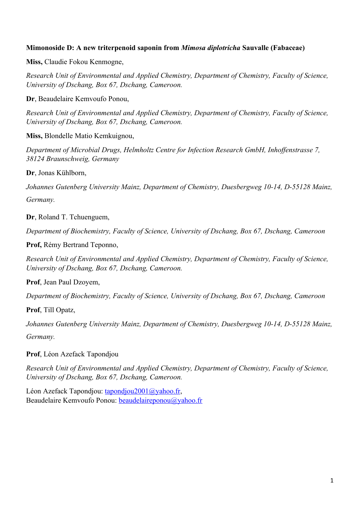# **Mimonoside D: A new triterpenoid saponin from** *Mimosa diplotricha* **Sauvalle (Fabaceae)**

**Miss,** Claudie Fokou Kenmogne,

*Research Unit of Environmental and Applied Chemistry, Department of Chemistry, Faculty of Science, University of Dschang, Box 67, Dschang, Cameroon.* 

**Dr**, Beaudelaire Kemvoufo Ponou,

*Research Unit of Environmental and Applied Chemistry, Department of Chemistry, Faculty of Science, University of Dschang, Box 67, Dschang, Cameroon.*

**Miss,** Blondelle Matio Kemkuignou,

*Department of Microbial Drugs, Helmholtz Centre for Infection Research GmbH, Inhoffenstrasse 7, 38124 Braunschweig, Germany*

**Dr**, Jonas Kühlborn,

*Johannes Gutenberg University Mainz, Department of Chemistry, Duesbergweg 10-14, D-55128 Mainz, Germany.*

**Dr**, Roland T. Tchuenguem,

*Department of Biochemistry, Faculty of Science, University of Dschang, Box 67, Dschang, Cameroon*

**Prof,** Rémy Bertrand Teponno,

*Research Unit of Environmental and Applied Chemistry, Department of Chemistry, Faculty of Science, University of Dschang, Box 67, Dschang, Cameroon.*

**Prof**, Jean Paul Dzoyem,

*Department of Biochemistry, Faculty of Science, University of Dschang, Box 67, Dschang, Cameroon*

**Prof**, Till Opatz,

*Johannes Gutenberg University Mainz, Department of Chemistry, Duesbergweg 10-14, D-55128 Mainz, Germany.*

**Prof**, Léon Azefack Tapondjou

*Research Unit of Environmental and Applied Chemistry, Department of Chemistry, Faculty of Science, University of Dschang, Box 67, Dschang, Cameroon.*

Léon Azefack Tapondjou: [tapondjou2001@yahoo.fr](mailto:tapondjou2001@yahoo.fr), Beaudelaire Kemvoufo Ponou: [beaudelaireponou@yahoo.fr](mailto:beaudelaireponou@yahoo.fr)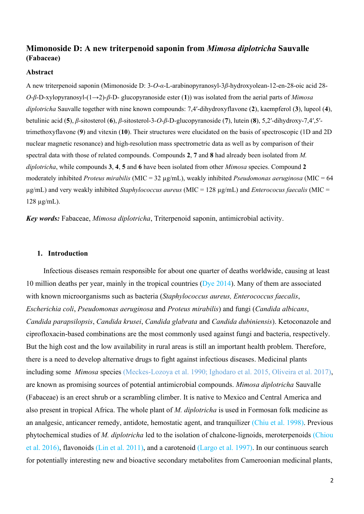# **Mimonoside D: A new triterpenoid saponin from** *Mimosa diplotricha* **Sauvalle (Fabaceae)**

#### **Abstract**

A new triterpenoid saponin (Mimonoside D: 3-*O*-*α*-L-arabinopyranosyl-3*β*-hydroxyolean-12-en-28-oic acid 28- *O*-*β*-D-xylopyranosyl-(1→2)-*β*-D- glucopyranoside ester (**1**)) was isolated from the aerial parts of *Mimosa diplotricha* Sauvalle together with nine known compounds: 7,4ʹ-dihydroxyflavone (**2**), kaempferol (**3**), lupeol (**4**), betulinic acid (**5**), *β*-sitosterol (**6**), *β*-sitosterol-3-*O*-*β*-D-glucopyranoside (**7**), lutein (**8**), 5,2ʹ-dihydroxy-7,4ʹ,5ʹtrimethoxyflavone (**9**) and vitexin (**10**). Their structures were elucidated on the basis of spectroscopic (1D and 2D nuclear magnetic resonance) and high-resolution mass spectrometric data as well as by comparison of their spectral data with those of related compounds. Compounds **2**, **7** and **8** had already been isolated from *M. diplotricha*, while compounds **3**, **4**, **5** and **6** have been isolated from other *Mimosa* species. Compound **2** moderately inhibited *Proteus mirabilis* (MIC = 32 µg/mL), weakly inhibited *Pseudomonas aeruginosa* (MIC = 64 µg/mL) and very weakly inhibited *Staphylococcus aureus* (MIC = 128 µg/mL) and *Enterococus faecalis* (MIC = 128 µg/mL).

*Key words:* Fabaceae, *Mimosa diplotricha*, Triterpenoid saponin, antimicrobial activity.

### **1. Introduction**

Infectious diseases remain responsible for about one quarter of deaths worldwide, causing at least 10 million deaths per year, mainly in the tropical countries (Dye 2014). Many of them are associated with known microorganisms such as bacteria (*Staphylococcus aureus, Enterococcus faecalis*, *Escherichia coli*, *Pseudomonas aeruginosa* and *Proteus mirabilis*) and fungi (*Candida albicans*, *Candida parapsilopsis*, *Candida krusei*, *Candida glabrata* and *Candida dubiniensis*). Ketoconazole and ciprofloxacin-based combinations are the most commonly used against fungi and bacteria, respectively. But the high cost and the low availability in rural areas is still an important health problem. Therefore, there is a need to develop alternative drugs to fight against infectious diseases. Medicinal plants including some *Mimosa* species (Meckes-Lozoya et al. 1990; Ighodaro et al. 2015, Oliveira et al. 2017), are known as promising sources of potential antimicrobial compounds. *Mimosa diplotricha* Sauvalle (Fabaceae) is an erect shrub or a scrambling climber. It is native to Mexico and Central America and also present in tropical Africa. The whole plant of *M. diplotricha* is used in Formosan folk medicine as an analgesic, anticancer remedy, antidote, hemostatic agent, and tranquilizer (Chiu et al. 1998). Previous phytochemical studies of *M. diplotricha* led to the isolation of chalcone-lignoids, meroterpenoids (Chiou et al. 2016), flavonoids (Lin et al. 2011), and a carotenoid (Largo et al. 1997). In our continuous search for potentially interesting new and bioactive secondary metabolites from Cameroonian medicinal plants,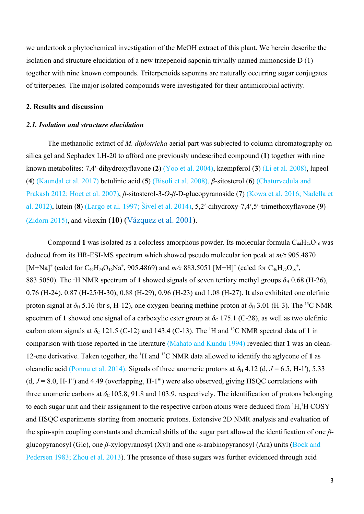we undertook a phytochemical investigation of the MeOH extract of this plant. We herein describe the isolation and structure elucidation of a new tritepenoid saponin trivially named mimonoside D (1) together with nine known compounds. Triterpenoids saponins are naturally occurring sugar conjugates of triterpenes. The major isolated compounds were investigated for their antimicrobial activity.

### **2. Results and discussion**

### *2.1. Isolation and structure elucidation*

The methanolic extract of *M. diplotricha* aerial part was subjected to column chromatography on silica gel and Sephadex LH-20 to afford one previously undescribed compound (**1**) together with nine known metabolites: 7,4ʹ-dihydroxyflavone (**2**) (Yoo et al. 2004), kaempferol (**3**) (Li et al. 2008), lupeol (**4**) (Kaundal et al. 2017) betulinic acid (**5**) (Bisoli et al. 2008), *β*-sitosterol (**6**) (Chaturvedula and Prakash 2012; Hoet et al. 2007), *β*-sitosterol-3-*O*-*β*-D-glucopyranoside (**7**) (Kowa et al. 2016; Nadella et al. 2012), lutein (**8**) (Largo et al. 1997; Šivel et al. 2014), 5,2ʹ-dihydroxy-7,4ʹ,5ʹ-trimethoxyflavone (**9**) (Zidorn 2015), and vitexin (**10**) (Vázquez et al. 2001).

Compound 1 was isolated as a colorless amorphous powder. Its molecular formula  $C_{44}H_{74}O_{16}$  was deduced from its HR-ESI-MS spectrum which showed pseudo molecular ion peak at *m/z* 905.4870 [M+Na]<sup>+</sup> (calcd for C<sub>46</sub>H<sub>74</sub>O<sub>16</sub>Na<sup>+</sup>, 905.4869) and  $m/z$  883.5051 [M+H]<sup>+</sup> (calcd for C<sub>46</sub>H<sub>75</sub>O<sub>16</sub><sup>+</sup>, 883.5050). The <sup>1</sup>H NMR spectrum of 1 showed signals of seven tertiary methyl groups  $\delta_H$  0.68 (H-26), 0.76 (H-24), 0.87 (H-25/H-30), 0.88 (H-29), 0.96 (H-23) and 1.08 (H-27). It also exhibited one olefinic proton signal at  $\delta_H$  5.16 (br s, H-12), one oxygen-bearing methine proton at  $\delta_H$  3.01 (H-3). The <sup>13</sup>C NMR spectrum of 1 showed one signal of a carboxylic ester group at  $\delta_c$  175.1 (C-28), as well as two olefinic carbon atom signals at  $\delta_c$  121.5 (C-12) and 143.4 (C-13). The <sup>1</sup>H and <sup>13</sup>C NMR spectral data of 1 in comparison with those reported in the literature (Mahato and Kundu 1994) revealed that **1** was an olean-12-ene derivative. Taken together, the <sup>1</sup>H and <sup>13</sup>C NMR data allowed to identify the aglycone of **1** as oleanolic acid (Ponou et al. 2014). Signals of three anomeric protons at  $\delta_H$  4.12 (d,  $J = 6.5$ , H-1'), 5.33  $(d, J = 8.0, H-1")$  and 4.49 (overlapping,  $H-1$ <sup>""</sup>) were also observed, giving HSQC correlations with three anomeric carbons at  $\delta_c$  105.8, 91.8 and 103.9, respectively. The identification of protons belonging to each sugar unit and their assignment to the respective carbon atoms were deduced from <sup>1</sup>H,<sup>1</sup>H COSY and HSQC experiments starting from anomeric protons. Extensive 2D NMR analysis and evaluation of the spin-spin coupling constants and chemical shifts of the sugar part allowed the identification of one *β*glucopyranosyl (Glc), one *β*-xylopyranosyl (Xyl) and one *α*-arabinopyranosyl (Ara) units (Bock and Pedersen 1983; Zhou et al. 2013). The presence of these sugars was further evidenced through acid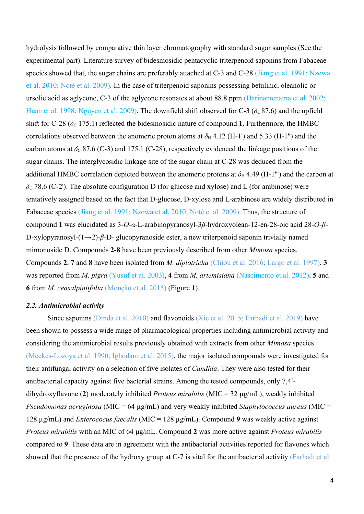hydrolysis followed by comparative thin layer chromatography with standard sugar samples (See the experimental part). Literature survey of bidesmosidic pentacyclic triterpenoid saponins from Fabaceae species showed that, the sugar chains are preferably attached at C-3 and C-28 (Jiang et al. 1991; Nzowa et al. 2010; Noté et al. 2009). In the case of triterpenoid saponins possessing betulinic, oleanolic or ursolic acid as aglycone, C-3 of the aglycone resonates at about 88.8 ppm (Harinantenaina et al. 2002; Huan et al. 1998; Nguyen et al. 2009). The downfield shift observed for C-3 ( $\delta_c$ 87.6) and the upfield shift for C-28 ( $\delta_c$  175.1) reflected the bidesmosidic nature of compound 1. Furthermore, the HMBC correlations observed between the anomeric proton atoms at  $\delta_H$  4.12 (H-1') and 5.33 (H-1'') and the carbon atoms at  $\delta_c$  87.6 (C-3) and 175.1 (C-28), respectively evidenced the linkage positions of the sugar chains. The interglycosidic linkage site of the sugar chain at C-28 was deduced from the additional HMBC correlation depicted between the anomeric protons at  $\delta_H$  4.49 (H-1''') and the carbon at  $\delta$ <sub>C</sub> 78.6 (C-2'). The absolute configuration D (for glucose and xylose) and L (for arabinose) were tentatively assigned based on the fact that D-glucose, D-xylose and L-arabinose are widely distributed in Fabaceae species (Jiang et al. 1991; Nzowa et al. 2010; Noté et al. 2009). Thus, the structure of compound **1** was elucidated as 3-*O*-*α*-L-arabinopyranosyl-3*β*-hydroxyolean-12-en-28-oic acid 28-*O*-*β*-D-xylopyranosyl-(1→2)-*β*-D- glucopyranoside ester, a new triterpenoid saponin trivially named mimonoside D. Compounds **2-8** have been previously described from other *Mimosa* species. Compounds **2**, **7** and **8** have been isolated from *M. diplotricha* (Chiou et al. 2016; Largo et al. 1997), **3** was reported from *M. pigra* (Yusuf et al. 2003), **4** from *M. artemisiana* (Nascimento et al. 2012), **5** and **6** from *M. ceasalpiniifolia* (Monção et al. 2015) (Figure 1).

### *2.2. Antimicrobial activity*

Since saponins (Dinda et al. 2010) and flavonoids (Xie et al. 2015; Farhadi et al. 2019) have been shown to possess a wide range of pharmacological properties including antimicrobial activity and considering the antimicrobial results previously obtained with extracts from other *Mimosa* species (Meckes-Lozoya et al. 1990; Ighodaro et al. 2015), the major isolated compounds were investigated for their antifungal activity on a selection of five isolates of *Candida*. They were also tested for their antibacterial capacity against five bacterial strains. Among the tested compounds, only 7,4ʹdihydroxyflavone (**2**) moderately inhibited *Proteus mirabilis* (MIC = 32 µg/mL), weakly inhibited *Pseudomonas aeruginosa* (MIC = 64 µg/mL) and very weakly inhibited *Staphylococcus aureus* (MIC = 128 µg/mL) and *Enterococus faecalis* (MIC = 128 µg/mL). Compound **9** was weakly active against *Proteus mirabilis* with an MIC of 64 μg/mL. Compound **2** was more active against *Proteus mirabilis* compared to **9**. These data are in agreement with the antibacterial activities reported for flavones which showed that the presence of the hydroxy group at C-7 is vital for the antibacterial activity (Farhadi et al.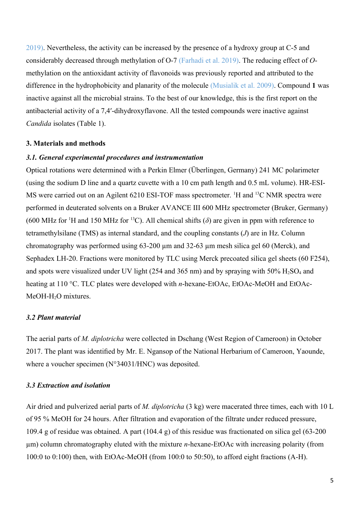2019). Nevertheless, the activity can be increased by the presence of a hydroxy group at C-5 and considerably decreased through methylation of O-7 (Farhadi et al. 2019). The reducing effect of *O*methylation on the antioxidant activity of flavonoids was previously reported and attributed to the difference in the hydrophobicity and planarity of the molecule (Musialik et al. 2009). Compound **1** was inactive against all the microbial strains. To the best of our knowledge, this is the first report on the antibacterial activity of a 7,4ʹ-dihydroxyflavone. All the tested compounds were inactive against *Candida* isolates (Table 1).

# **3. Materials and methods**

### *3.1. General experimental procedures and instrumentation*

Optical rotations were determined with a Perkin Elmer (Überlingen, Germany) 241 MC polarimeter (using the sodium D line and a quartz cuvette with a 10 cm path length and 0.5 mL volume). HR-ESI-MS were carried out on an Agilent 6210 ESI-TOF mass spectrometer. <sup>1</sup>H and <sup>13</sup>C NMR spectra were performed in deuterated solvents on a Bruker AVANCE III 600 MHz spectrometer (Bruker, Germany) (600 MHz for <sup>1</sup>H and 150 MHz for <sup>13</sup>C). All chemical shifts ( $\delta$ ) are given in ppm with reference to tetramethylsilane (TMS) as internal standard, and the coupling constants (*J*) are in Hz. Column chromatography was performed using 63-200 µm and 32-63 µm mesh silica gel 60 (Merck), and Sephadex LH-20. Fractions were monitored by TLC using Merck precoated silica gel sheets (60 F254), and spots were visualized under UV light (254 and 365 nm) and by spraying with  $50\%$  H<sub>2</sub>SO<sub>4</sub> and heating at 110 °C. TLC plates were developed with *n*-hexane-EtOAc, EtOAc-MeOH and EtOAc-MeOH-H<sub>2</sub>O mixtures.

# *3.2 Plant material*

The aerial parts of *M. diplotricha* were collected in Dschang (West Region of Cameroon) in October 2017. The plant was identified by Mr. E. Ngansop of the National Herbarium of Cameroon, Yaounde, where a voucher specimen (N°34031/HNC) was deposited.

# *3.3 Extraction and isolation*

Air dried and pulverized aerial parts of *M. diplotricha* (3 kg) were macerated three times, each with 10 L of 95 % MeOH for 24 hours. After filtration and evaporation of the filtrate under reduced pressure, 109.4 g of residue was obtained. A part (104.4 g) of this residue was fractionated on silica gel (63-200 µm) column chromatography eluted with the mixture *n*-hexane-EtOAc with increasing polarity (from 100:0 to 0:100) then, with EtOAc-MeOH (from 100:0 to 50:50), to afford eight fractions (A-H).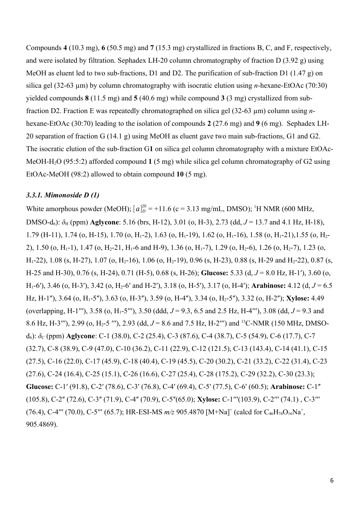Compounds **4** (10.3 mg), **6** (50.5 mg) and **7** (15.3 mg) crystallized in fractions B, C, and F, respectively, and were isolated by filtration. Sephadex LH-20 column chromatography of fraction D (3.92 g) using MeOH as eluent led to two sub-fractions, D1 and D2. The purification of sub-fraction D1 (1.47 g) on silica gel (32-63 µm) by column chromatography with isocratic elution using *n*-hexane-EtOAc (70:30) yielded compounds **8** (11.5 mg) and **5** (40.6 mg) while compound **3** (3 mg) crystallized from subfraction D2. Fraction E was repeatedly chromatographed on silica gel (32-63 µm) column using *n*hexane-EtOAc (30:70) leading to the isolation of compounds **2** (27.6 mg) and **9** (6 mg). Sephadex LH-20 separation of fraction G (14.1 g) using MeOH as eluent gave two main sub-fractions, G1 and G2. The isocratic elution of the sub-fraction G**1** on silica gel column chromatography with a mixture EtOAc-MeOH-H2O (95:5:2) afforded compound **1** (5 mg) while silica gel column chromatography of G2 using EtOAc-MeOH (98:2) allowed to obtain compound **10** (5 mg).

# *3.3.1. Mimonoside D (1)*

White amorphous powder (MeOH);  $[a]_D^{20} = +11.6$  (c = 3.13 mg/mL, DMSO); <sup>1</sup>H NMR (600 MHz, DMSO-d6): *δ*H (ppm) **Aglycone**: 5.16 (brs, H-12), 3.01 (o, H-3), 2.73 (dd, *J* = 13.7 and 4.1 Hz, H-18), 1.79 (H-11), 1.74 (o, H-15), 1.70 (o, H<sub>1</sub>-2), 1.63 (o, H<sub>1</sub>-19), 1.62 (o, H<sub>1</sub>-16), 1.58 (o, H<sub>1</sub>-21), 1.55 (o, H<sub>2</sub>-2), 1.50 (o, H<sub>1</sub>-1), 1.47 (o, H<sub>2</sub>-21, H<sub>1</sub>-6 and H-9), 1.36 (o, H<sub>1</sub>-7), 1.29 (o, H<sub>2</sub>-6), 1.26 (o, H<sub>2</sub>-7), 1.23 (o, H<sub>1</sub>-22), 1.08 (s, H-27), 1.07 (o, H<sub>2</sub>-16), 1.06 (o, H<sub>2</sub>-19), 0.96 (s, H-23), 0.88 (s, H-29 and H<sub>2</sub>-22), 0.87 (s, H-25 and H-30), 0.76 (s, H-24), 0.71 (H-5), 0.68 (s, H-26); **Glucose:** 5.33 (d, *J* = 8.0 Hz, H-1ʹ), 3.60 (o, H<sub>1</sub>-6'), 3.46 (o, H<sub>2</sub>3'), 3.42 (o, H<sub>2</sub>-6' and H<sub>2</sub>2'), 3.18 (o, H<sub>2</sub>5'), 3.17 (o, H<sub>2</sub>4'); **Arabinose:** 4.12 (d,  $J = 6.5$ Hz, H-1ʺ), 3.64 (o, H1-5ʺ), 3.63 (o, H-3ʺ), 3.59 (o, H-4ʺ), 3.34 (o, H2-5ʺ), 3.32 (o, H-2ʺ); **Xylose:** 4.49 (overlapping, H-1<sup>'''</sup>), 3.58 (o, H<sub>1</sub>-5<sup>'''</sup>), 3.50 (ddd,  $J = 9.3$ , 6.5 and 2.5 Hz, H-4<sup>'''</sup>), 3.08 (dd,  $J = 9.3$  and 8.6 Hz, H-3ʹʹʹ), 2.99 (o, H2-5 ʹʹʹ), 2.93 (dd, *J* = 8.6 and 7.5 Hz, H-2ʹʹʹ) and <sup>13</sup>C-NMR (150 MHz, DMSOd6): *δ*C (ppm) **Aglycone**: C-1 (38.0), C-2 (25.4), C-3 (87.6), C-4 (38.7), C-5 (54.9), C-6 (17.7), C-7 (32.7), C-8 (38.9), C-9 (47.0), C-10 (36.2), C-11 (22.9), C-12 (121.5), C-13 (143.4), C-14 (41.1), C-15 (27.5), C-16 (22.0), C-17 (45.9), C-18 (40.4), C-19 (45.5), C-20 (30.2), C-21 (33.2), C-22 (31.4), C-23 (27.6), C-24 (16.4), C-25 (15.1), C-26 (16.6), C-27 (25.4), C-28 (175.2), C-29 (32.2), C-30 (23.3); **Glucose:** C-1ʹ (91.8), C-2ʹ (78.6), C-3ʹ (76.8), C-4ʹ (69.4), C-5ʹ (77.5), C-6ʹ (60.5); **Arabinose:** C-1ʺ (105.8), C-2ʺ (72.6), C-3ʺ (71.9), C-4ʺ (70.9), C-5ʺ(65.0); **Xylose:** C-1ʹʹʹ(103.9), C-2ʹʹʹ (74.1) , C-3ʹʹʹ (76.4), C-4''' (70.0), C-5''' (65.7); HR-ESI-MS  $m/z$  905.4870 [M+Na]<sup>+</sup> (calcd for C<sub>46</sub>H<sub>74</sub>O<sub>16</sub>Na<sup>+</sup>, 905.4869).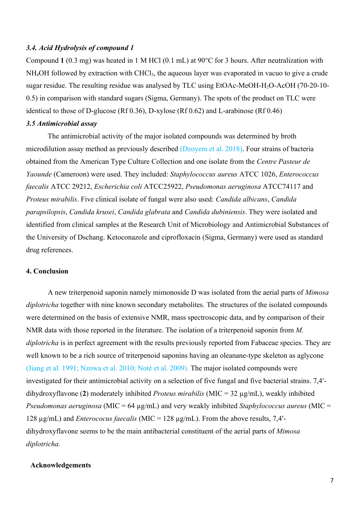### *3.4. Acid Hydrolysis of compound 1*

Compound **1** (0.3 mg) was heated in 1 M HCl (0.1 mL) at 90°C for 3 hours. After neutralization with NH<sub>4</sub>OH followed by extraction with CHCl<sub>3</sub>, the aqueous layer was evaporated in vacuo to give a crude sugar residue. The resulting residue was analysed by TLC using EtOAc-MeOH-H2O-AcOH (70-20-10- 0.5) in comparison with standard sugars (Sigma, Germany). The spots of the product on TLC were identical to those of D-glucose (Rf 0.36), D-xylose (Rf 0.62) and L-arabinose (Rf 0.46)

### *3.5 Antimicrobial assay*

The antimicrobial activity of the major isolated compounds was determined by broth microdilution assay method as previously described (Dzoyem et al. 2018). Four strains of bacteria obtained from the American Type Culture Collection and one isolate from the *Centre Pasteur de Yaounde* (Cameroon) were used. They included: *Staphylococcus aureus* ATCC 1026, *Enterococcus faecalis* ATCC 29212, *Escherichia coli* ATCC25922, *Pseudomonas aeruginosa* ATCC74117 and *Proteus mirabilis*. Five clinical isolate of fungal were also used: *Candida albicans*, *Candida parapsilopsis*, *Candida krusei*, *Candida glabrata* and *Candida dubiniensis*. They were isolated and identified from clinical samples at the Research Unit of Microbiology and Antimicrobial Substances of the University of Dschang. Ketoconazole and ciprofloxacin (Sigma, Germany) were used as standard drug references.

# **4. Conclusion**

A new triterpenoid saponin namely mimonoside D was isolated from the aerial parts of *Mimosa diplotricha* together with nine known secondary metabolites. The structures of the isolated compounds were determined on the basis of extensive NMR, mass spectroscopic data, and by comparison of their NMR data with those reported in the literature. The isolation of a triterpenoid saponin from *M. diplotricha* is in perfect agreement with the results previously reported from Fabaceae species. They are well known to be a rich source of triterpenoid saponins having an oleanane-type skeleton as aglycone (Jiang et al. 1991; Nzowa et al. 2010; Noté et al. 2009). The major isolated compounds were investigated for their antimicrobial activity on a selection of five fungal and five bacterial strains. 7,4ʹdihydroxyflavone (**2**) moderately inhibited *Proteus mirabilis* (MIC = 32 µg/mL), weakly inhibited *Pseudomonas aeruginosa* (MIC = 64 µg/mL) and very weakly inhibited *Staphylococcus aureus* (MIC = 128 µg/mL) and *Enterococus faecalis* (MIC = 128 µg/mL). From the above results, 7,4ʹdihydroxyflavone seems to be the main antibacterial constituent of the aerial parts of *Mimosa diplotricha.*

### **Acknowledgements**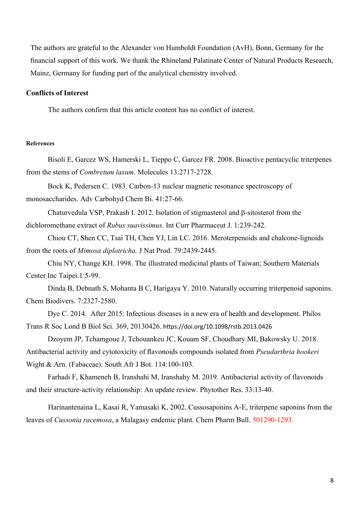The authors are grateful to the Alexander von Humboldt Foundation (AvH), Bonn, Germany for the financial support of this work. We thank the Rhineland Palatinate Center of Natural Products Research, Mainz, Germany for funding part of the analytical chemistry involved.

### **Conflicts of Interest**

The authors confirm that this article content has no conflict of interest.

### **References**

Bisoli E, Garcez WS, Hamerski L, Tieppo C, Garcez FR. 2008. Bioactive pentacyclic triterpenes from the stems of *Combretum laxum*. Molecules 13:2717-2728.

Bock K, Pedersen C. 1983. Carbon-13 nuclear magnetic resonance spectroscopy of monosaccharides. Adv Carbohyd Chem Bi. 41:27-66.

Chaturvedula VSP, Prakash I. 2012. Isolation of stigmasterol and β-sitosterol from the dichloromethane extract of *Rubus suavissimus*. Int Curr Pharmaceut J. 1:239-242.

Chiou CT, Shen CC, Tsai TH, Chen YJ, Lin LC. 2016. Meroterpenoids and chalcone-lignoids from the roots of *Mimosa diplotricha.* J Nat Prod. 79:2439-2445.

Chiu NY, Change KH. 1998. The illustrated medicinal plants of Taiwan; Southern Materials Center Inc Taipei.1:5-99.

Dinda B, Debnath S, Mohanta B C, Harigaya Y. 2010. Naturally occurring triterpenoid saponins. Chem Biodivers. 7:2327-2580.

Dye C. 2014. After 2015: Infectious diseases in a new era of health and development. Philos Trans R Soc Lond B Biol Sci. 369, 20130426. https://doi.org/10.1098/rstb.2013.0426

Dzoyem JP, Tchamgoue J, Tchouankeu JC, Kouam SF, Choudhary MI, Bakowsky U. 2018. Antibacterial activity and cytotoxicity of flavonoids compounds isolated from *Pseudarthria hookeri* Wight & Arn. (Fabaceae). South Afr J Bot. 114:100-103.

Farhadi F, Khameneh B, Iranshahi M, Iranshahy M. 2019. Antibacterial activity of flavonoids and their structure-activity relationship: An update review. Phytother Res. 33:13-40.

Harinantenaina L, Kasai R, Yamasaki K, 2002. Cussosaponins A-E, triterpene saponins from the leaves of *Cussonia racemosa*, a Malagasy endemic plant. Chem Pharm Bull. 501290-1293.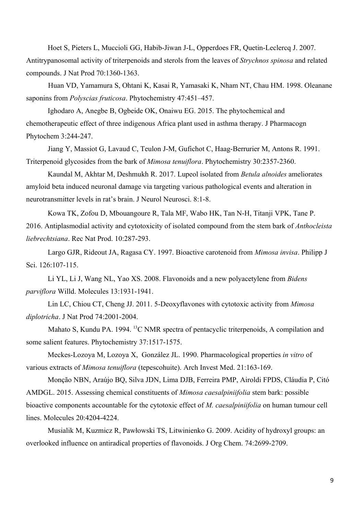Hoet S, Pieters L, Muccioli GG, Habib-Jiwan J-L, Opperdoes FR, Quetin-Leclercq J. 2007. Antitrypanosomal activity of triterpenoids and sterols from the leaves of *Strychnos spinosa* and related compounds. J Nat Prod 70:1360-1363.

Huan VD, Yamamura S, Ohtani K, Kasai R, Yamasaki K, Nham NT, Chau HM. 1998. Oleanane saponins from *Polyscias fruticosa*. Phytochemistry 47:451-457.

Ighodaro A, Anegbe B, Ogbeide OK, Onaiwu EG. 2015. The phytochemical and chemotherapeutic effect of three indigenous Africa plant used in asthma therapy. J Pharmacogn Phytochem 3:244-247.

Jiang Y, Massiot G, Lavaud C, Teulon J-M, Gufichot C, Haag-Berrurier M, Antons R. 1991. Triterpenoid glycosides from the bark of *Mimosa tenuiflora*. Phytochemistry 30:2357-2360.

Kaundal M, Akhtar M, Deshmukh R. 2017. Lupeol isolated from *Betula alnoides* ameliorates amyloid beta induced neuronal damage via targeting various pathological events and alteration in neurotransmitter levels in rat's brain. J Neurol Neurosci. 8:1-8.

Kowa TK, Zofou D, Mbouangoure R, Tala MF, Wabo HK, Tan N-H, Titanji VPK, Tane P. 2016. Antiplasmodial activity and cytotoxicity of isolated compound from the stem bark of *Anthocleista liebrechtsiana*. Rec Nat Prod. 10:287-293.

Largo GJR, Rideout JA, Ragasa CY. 1997. Bioactive carotenoid from *Mimosa invisa*. Philipp J Sci. 126:107-115.

Li YL, Li J, Wang NL, Yao XS. 2008. Flavonoids and a new polyacetylene from *Bidens parviflora* Willd. Molecules 13:1931-1941.

Lin LC, Chiou CT, Cheng JJ. 2011. 5-Deoxyflavones with cytotoxic activity from *Mimosa diplotricha*. J Nat Prod 74:2001-2004.

Mahato S, Kundu PA. 1994. <sup>13</sup>C NMR spectra of pentacyclic triterpenoids, A compilation and some salient features. Phytochemistry 37:1517-1575.

[Meckes-Lozoya](https://pubmed.ncbi.nlm.nih.gov/?term=Meckes-Lozoya+M&cauthor_id=2103705) M, [Lozoya](https://pubmed.ncbi.nlm.nih.gov/?term=Lozoya+X&cauthor_id=2103705) X, [González](https://pubmed.ncbi.nlm.nih.gov/?term=Gonz%C3%A1lez+JL&cauthor_id=2103705) JL. 1990. Pharmacological properties *in vitro* of various extracts of *Mimosa tenuiflora* (tepescohuite). Arch Invest Med. 21:163-169.

Monção NBN, Araújo BQ, Silva JDN, Lima DJB, Ferreira PMP, Airoldi FPDS, Cláudia P, Citó AMDGL. 2015. Assessing chemical constituents of *Mimosa caesalpiniifolia* stem bark: possible bioactive components accountable for the cytotoxic effect of *M. caesalpiniifolia* on human tumour cell lines. Molecules 20:4204-4224.

Musialik M, Kuzmicz R, Pawłowski TS, Litwinienko G. 2009. Acidity of hydroxyl groups: an overlooked influence on antiradical properties of flavonoids. J Org Chem. 74:2699-2709.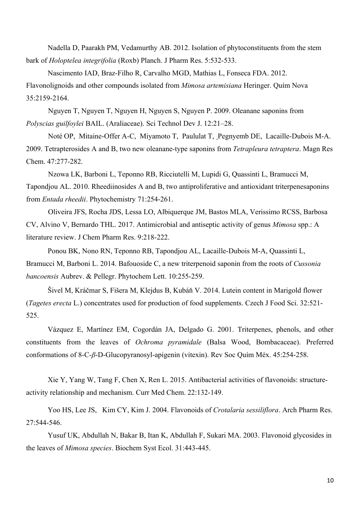Nadella D, Paarakh PM, Vedamurthy AB. 2012. Isolation of phytoconstituents from the stem bark of *Holoptelea integrifolia* (Roxb) Planch. J Pharm Res. 5:532-533.

Nascimento IAD, Braz-Filho R, Carvalho MGD, Mathias L, Fonseca FDA. 2012. Flavonolignoids and other compounds isolated from *Mimosa artemisiana* Heringer. Quím Nova 35:2159-2164.

Nguyen T, Nguyen T, Nguyen H, Nguyen S, Nguyen P. 2009. Oleanane saponins from *Polyscias guilfoylei* BAIL. (Araliaceae). Sci Technol Dev J. 12:21–28.

[Noté](https://pubmed.ncbi.nlm.nih.gov/?term=Not%C3%A9+OP&cauthor_id=19153973) OP, [Mitaine-Offer](https://pubmed.ncbi.nlm.nih.gov/?term=Mitaine-Offer+AC&cauthor_id=19153973) A-C, [Miyamoto](https://pubmed.ncbi.nlm.nih.gov/?term=Miyamoto+T&cauthor_id=19153973) T, [Paululat](https://pubmed.ncbi.nlm.nih.gov/?term=Paululat+T&cauthor_id=19153973) T, [Pegnyemb](https://pubmed.ncbi.nlm.nih.gov/?term=Pegnyemb+DE&cauthor_id=19153973) DE, [Lacaille-Dubois](https://pubmed.ncbi.nlm.nih.gov/?term=Lacaille-Dubois+MA&cauthor_id=19153973) M-A. 2009. Tetrapterosides A and B, two new oleanane-type saponins from *Tetrapleura tetraptera*. Magn Res Chem. 47:277-282.

Nzowa LK, Barboni L, Teponno RB, Ricciutelli M, Lupidi G, Quassinti L, Bramucci M, Tapondjou AL. 2010. Rheediinosides A and B, two antiproliferative and antioxidant triterpenesaponins from *Entada rheedii*. Phytochemistry 71:254-261.

Oliveira JFS, Rocha JDS, Lessa LO, Albiquerque JM, Bastos MLA, Verissimo RCSS, Barbosa CV, Alvino V, Bernardo THL. 2017. Antimicrobial and antiseptic activity of genus *Mimosa* spp.: A literature review. J Chem Pharm Res. 9:218-222.

Ponou BK, Nono RN, Teponno RB, Tapondjou AL, Lacaille-Dubois M-A, Quassinti L, Bramucci M, Barboni L. 2014. Bafouoside C, a new triterpenoid saponin from the roots of *Cussonia bancoensis* Aubrev. & Pellegr. Phytochem Lett. 10:255-259.

Šivel M, Kráčmar S, Fišera M, Klejdus B, Kubáň V. 2014. Lutein content in Marigold flower (*Tagetes erecta* L.) concentrates used for production of food supplements. Czech J Food Sci. 32:521- 525.

Vázquez E, Martínez EM, Cogordán JA, Delgado G. 2001. Triterpenes, phenols, and other constituents from the leaves of *Ochroma pyramidale* (Balsa Wood, Bombacaceae). Preferred conformations of 8-C-*β*-D-Glucopyranosyl-apigenin (vitexin). Rev Soc Quím Méx. 45:254-258.

Xie Y, Yang W, Tang F, Chen X, Ren L. 2015. Antibacterial activities of flavonoids: structureactivity relationship and mechanism. Curr Med Chem. 22:132-149.

Yoo HS, Lee JS, Kim CY, Kim J. 2004. Flavonoids of *Crotalaria sessiliflora*. Arch Pharm Res. 27:544-546.

Yusuf UK, Abdullah N, Bakar B, Itan K, Abdullah F, Sukari MA. 2003. Flavonoid glycosides in the leaves of *Mimosa species*. Biochem Syst Ecol. 31:443-445.